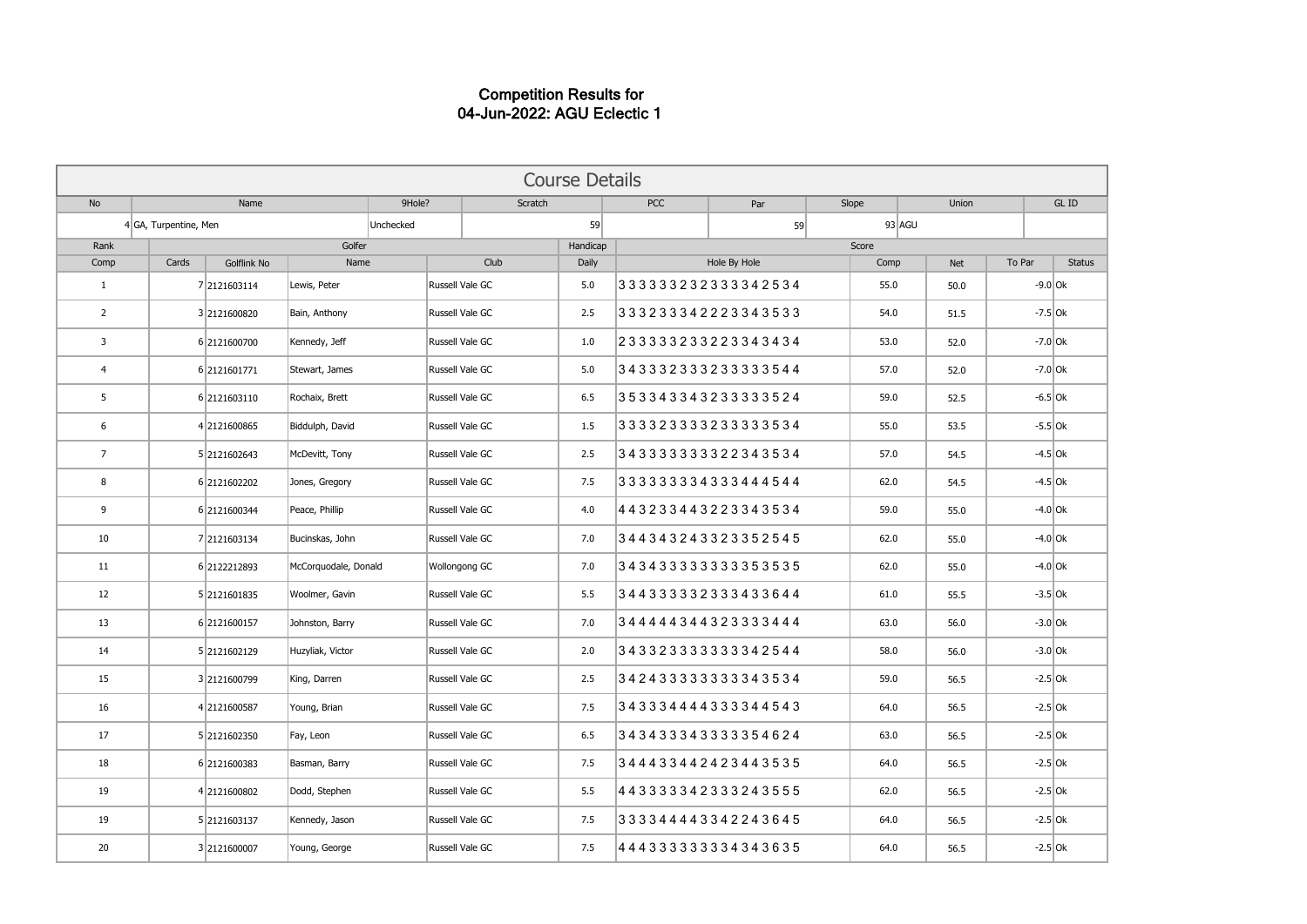## Competition Results for 04-Jun-2022: AGU Eclectic 1

| <b>Course Details</b>   |                       |                    |                      |           |                 |          |            |                    |       |              |        |               |  |
|-------------------------|-----------------------|--------------------|----------------------|-----------|-----------------|----------|------------|--------------------|-------|--------------|--------|---------------|--|
| <b>No</b>               | Name                  |                    |                      | 9Hole?    | Scratch         |          | <b>PCC</b> | Slope<br>Par       |       | <b>Union</b> |        | GL ID         |  |
|                         | 4 GA, Turpentine, Men |                    |                      | Unchecked |                 | 59       |            | 59                 |       | 93 AGU       |        |               |  |
| Rank                    | Golfer                |                    |                      |           |                 | Handicap |            |                    | Score |              |        |               |  |
| Comp                    | Cards                 | <b>Golflink No</b> | Name                 |           | Club            | Daily    |            | Hole By Hole       | Comp  | <b>Net</b>   | To Par | <b>Status</b> |  |
| 1                       |                       | 7 2121603114       | Lewis, Peter         |           | Russell Vale GC | 5.0      |            | 333333232333342534 | 55.0  | 50.0         |        | $-9.0$ Ok     |  |
| $\overline{2}$          |                       | 3 2121600820       | Bain, Anthony        |           | Russell Vale GC | 2.5      |            | 333233342223343533 | 54.0  | 51.5         |        | $-7.5$ Ok     |  |
| $\overline{\mathbf{3}}$ |                       | 6 2121600700       | Kennedy, Jeff        |           | Russell Vale GC | 1.0      |            | 233333233223343434 | 53.0  | 52.0         |        | $-7.0$ Ok     |  |
| $\overline{4}$          |                       | 6 2121601771       | Stewart, James       |           | Russell Vale GC | 5.0      |            | 343332333233333544 | 57.0  | 52.0         |        | $-7.0$ Ok     |  |
| 5                       |                       | 6 2121603110       | Rochaix, Brett       |           | Russell Vale GC | 6.5      |            | 353343343233333524 | 59.0  | 52.5         |        | $-6.5$ Ok     |  |
| 6                       |                       | 4 2121600865       | Biddulph, David      |           | Russell Vale GC | 1.5      |            | 333323333233333534 | 55.0  | 53.5         |        | $-5.5$ Ok     |  |
| $\overline{7}$          |                       | 5 2121602643       | McDevitt, Tony       |           | Russell Vale GC | 2.5      |            | 343333333322343534 | 57.0  | 54.5         |        | $-4.5$ Ok     |  |
| 8                       |                       | 6 2121602202       | Jones, Gregory       |           | Russell Vale GC | 7.5      |            | 333333334333444544 | 62.0  | 54.5         |        | $-4.5$ Ok     |  |
| 9                       |                       | 6 2121600344       | Peace, Phillip       |           | Russell Vale GC | 4.0      |            | 443233443223343534 | 59.0  | 55.0         |        | $-4.0$ Ok     |  |
| 10                      |                       | 7 2121603134       | Bucinskas, John      |           | Russell Vale GC | 7.0      |            | 344343243323352545 | 62.0  | 55.0         |        | $-4.0$ Ok     |  |
| 11                      |                       | 6 2122212893       | McCorquodale, Donald |           | Wollongong GC   | 7.0      |            | 343433333333353535 | 62.0  | 55.0         |        | $-4.0$ Ok     |  |
| 12                      |                       | 5 2121601835       | Woolmer, Gavin       |           | Russell Vale GC | 5.5      |            | 344333332333433644 | 61.0  | 55.5         |        | $-3.5$ Ok     |  |
| 13                      |                       | 6 2121600157       | Johnston, Barry      |           | Russell Vale GC | 7.0      |            | 344444344323333444 | 63.0  | 56.0         |        | $-3.0$ Ok     |  |
| 14                      |                       | 5 2121602129       | Huzyliak, Victor     |           | Russell Vale GC | 2.0      |            | 34332333333342544  | 58.0  | 56.0         |        | $-3.0$ Ok     |  |
| 15                      |                       | 3 2121600799       | King, Darren         |           | Russell Vale GC | 2.5      |            | 342433333333343534 | 59.0  | 56.5         |        | $-2.5$ Ok     |  |
| 16                      |                       | 4 2121600587       | Young, Brian         |           | Russell Vale GC | 7.5      |            | 343334444333344543 | 64.0  | 56.5         |        | $-2.5$ Ok     |  |
| 17                      |                       | 5 2121602350       | Fay, Leon            |           | Russell Vale GC | 6.5      |            | 343433343333354624 | 63.0  | 56.5         |        | $-2.5$ Ok     |  |
| 18                      |                       | 6 2121600383       | Basman, Barry        |           | Russell Vale GC | 7.5      |            | 344433442423443535 | 64.0  | 56.5         |        | $-2.5$ Ok     |  |
| 19                      |                       | 4 2121600802       | Dodd, Stephen        |           | Russell Vale GC | 5.5      |            | 443333342333243555 | 62.0  | 56.5         |        | $-2.5$ Ok     |  |
| 19                      |                       | 5 2121603137       | Kennedy, Jason       |           | Russell Vale GC | 7.5      |            | 333344443342243645 | 64.0  | 56.5         |        | $-2.5$ Ok     |  |
| 20                      |                       | 3 2121600007       | Young, George        |           | Russell Vale GC | 7.5      |            | 444333333334343635 | 64.0  | 56.5         |        | $-2.5$ Ok     |  |